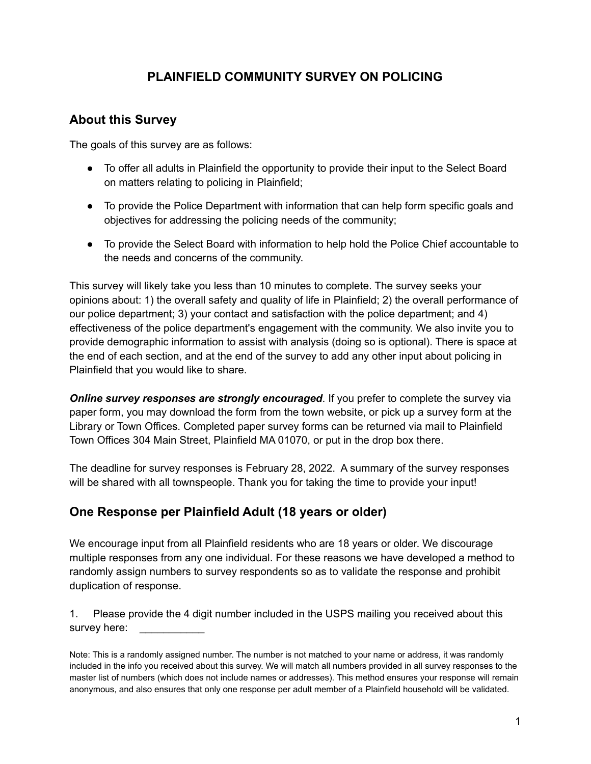# **PLAINFIELD COMMUNITY SURVEY ON POLICING**

#### **About this Survey**

The goals of this survey are as follows:

- To offer all adults in Plainfield the opportunity to provide their input to the Select Board on matters relating to policing in Plainfield;
- To provide the Police Department with information that can help form specific goals and objectives for addressing the policing needs of the community;
- To provide the Select Board with information to help hold the Police Chief accountable to the needs and concerns of the community.

This survey will likely take you less than 10 minutes to complete. The survey seeks your opinions about: 1) the overall safety and quality of life in Plainfield; 2) the overall performance of our police department; 3) your contact and satisfaction with the police department; and 4) effectiveness of the police department's engagement with the community. We also invite you to provide demographic information to assist with analysis (doing so is optional). There is space at the end of each section, and at the end of the survey to add any other input about policing in Plainfield that you would like to share.

*Online survey responses are strongly encouraged*. If you prefer to complete the survey via paper form, you may download the form from the town website, or pick up a survey form at the Library or Town Offices. Completed paper survey forms can be returned via mail to Plainfield Town Offices 304 Main Street, Plainfield MA 01070, or put in the drop box there.

The deadline for survey responses is February 28, 2022. A summary of the survey responses will be shared with all townspeople. Thank you for taking the time to provide your input!

#### **One Response per Plainfield Adult (18 years or older)**

We encourage input from all Plainfield residents who are 18 years or older. We discourage multiple responses from any one individual. For these reasons we have developed a method to randomly assign numbers to survey respondents so as to validate the response and prohibit duplication of response.

1. Please provide the 4 digit number included in the USPS mailing you received about this survey here:

Note: This is a randomly assigned number. The number is not matched to your name or address, it was randomly included in the info you received about this survey. We will match all numbers provided in all survey responses to the master list of numbers (which does not include names or addresses). This method ensures your response will remain anonymous, and also ensures that only one response per adult member of a Plainfield household will be validated.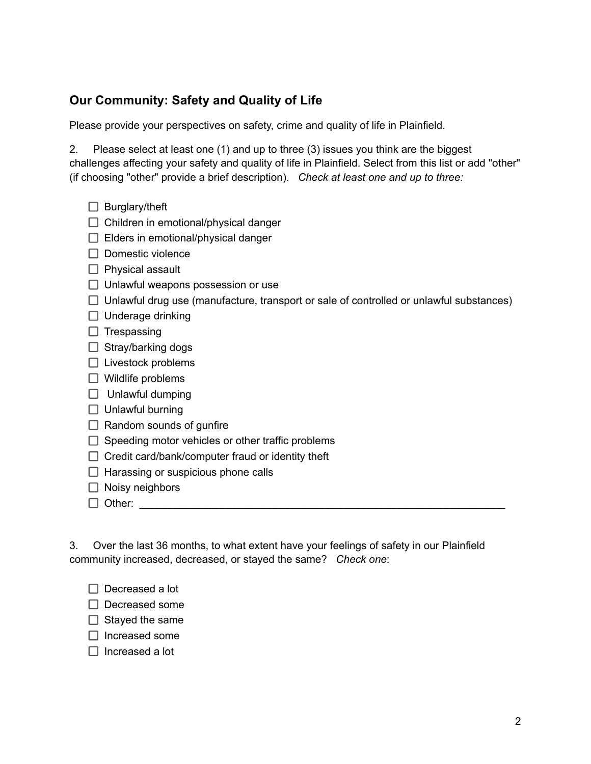# **Our Community: Safety and Quality of Life**

Please provide your perspectives on safety, crime and quality of life in Plainfield.

2. Please select at least one (1) and up to three (3) issues you think are the biggest challenges affecting your safety and quality of life in Plainfield. Select from this list or add "other" (if choosing "other" provide a brief description). *Check at least one and up to three:*

- $\Box$  Burglary/theft
- $\Box$  Children in emotional/physical danger
- $\Box$  Elders in emotional/physical danger
- $\Box$  Domestic violence
- $\Box$  Physical assault
- $\Box$  Unlawful weapons possession or use
- $\Box$  Unlawful drug use (manufacture, transport or sale of controlled or unlawful substances)
- $\Box$  Underage drinking
- $\Box$  Trespassing
- $\Box$  Stray/barking dogs
- $\Box$  Livestock problems
- $\Box$  Wildlife problems
- $\Box$  Unlawful dumping
- $\Box$  Unlawful burning
- $\Box$  Random sounds of gunfire
- $\Box$  Speeding motor vehicles or other traffic problems
- $\Box$  Credit card/bank/computer fraud or identity theft
- $\Box$  Harassing or suspicious phone calls
- $\Box$  Noisy neighbors
- Other: \_\_\_\_\_\_\_\_\_\_\_\_\_\_\_\_\_\_\_\_\_\_\_\_\_\_\_\_\_\_\_\_\_\_\_\_\_\_\_\_\_\_\_\_\_\_\_\_\_\_\_\_\_\_\_\_\_\_\_\_\_\_

3. Over the last 36 months, to what extent have your feelings of safety in our Plainfield community increased, decreased, or stayed the same? *Check one*:

- $\Box$  Decreased a lot
- D Decreased some
- $\Box$  Stayed the same
- $\Box$  Increased some
- $\Box$  Increased a lot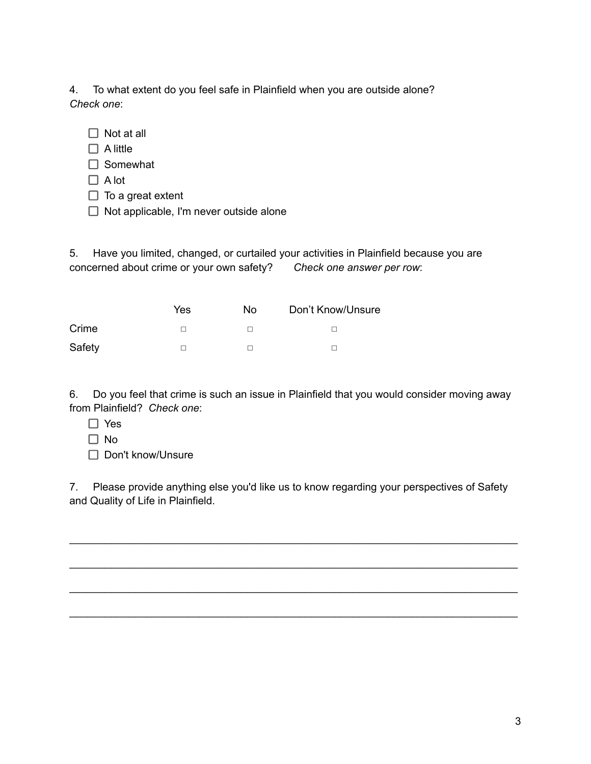4. To what extent do you feel safe in Plainfield when you are outside alone? *Check one*:

- $\Box$  Not at all
- $\Box$  A little
- $\Box$  Somewhat
- $\Box$  A lot
- $\Box$  To a great extent
- $\Box$  Not applicable, I'm never outside alone

5. Have you limited, changed, or curtailed your activities in Plainfield because you are concerned about crime or your own safety? *Check one answer per row*:

|        | Yes | No | Don't Know/Unsure |  |  |
|--------|-----|----|-------------------|--|--|
| Crime  |     |    |                   |  |  |
| Safety |     |    |                   |  |  |

6. Do you feel that crime is such an issue in Plainfield that you would consider moving away from Plainfield? *Check one*:

- □ Yes
- □ No
- □ Don't know/Unsure

7. Please provide anything else you'd like us to know regarding your perspectives of Safety and Quality of Life in Plainfield.

\_\_\_\_\_\_\_\_\_\_\_\_\_\_\_\_\_\_\_\_\_\_\_\_\_\_\_\_\_\_\_\_\_\_\_\_\_\_\_\_\_\_\_\_\_\_\_\_\_\_\_\_\_\_\_\_\_\_\_\_\_\_\_\_\_\_\_\_\_\_\_\_\_\_\_\_

\_\_\_\_\_\_\_\_\_\_\_\_\_\_\_\_\_\_\_\_\_\_\_\_\_\_\_\_\_\_\_\_\_\_\_\_\_\_\_\_\_\_\_\_\_\_\_\_\_\_\_\_\_\_\_\_\_\_\_\_\_\_\_\_\_\_\_\_\_\_\_\_\_\_\_\_

\_\_\_\_\_\_\_\_\_\_\_\_\_\_\_\_\_\_\_\_\_\_\_\_\_\_\_\_\_\_\_\_\_\_\_\_\_\_\_\_\_\_\_\_\_\_\_\_\_\_\_\_\_\_\_\_\_\_\_\_\_\_\_\_\_\_\_\_\_\_\_\_\_\_\_\_

\_\_\_\_\_\_\_\_\_\_\_\_\_\_\_\_\_\_\_\_\_\_\_\_\_\_\_\_\_\_\_\_\_\_\_\_\_\_\_\_\_\_\_\_\_\_\_\_\_\_\_\_\_\_\_\_\_\_\_\_\_\_\_\_\_\_\_\_\_\_\_\_\_\_\_\_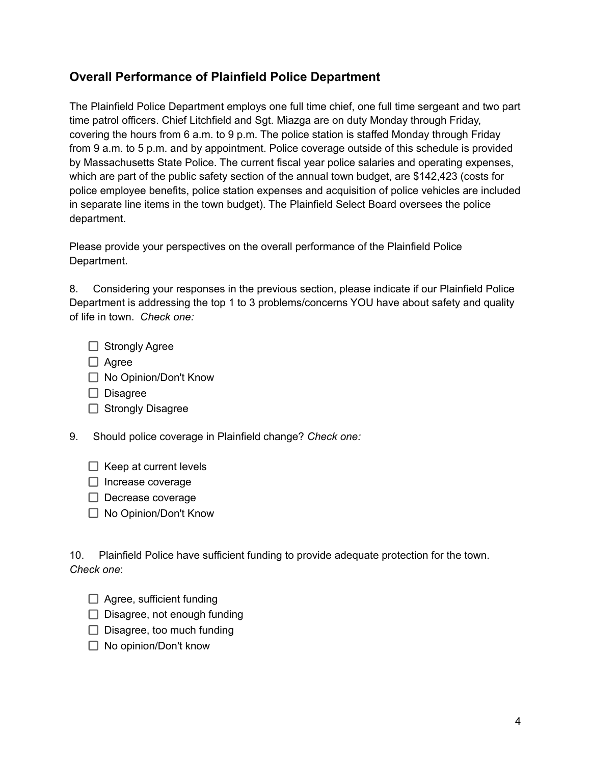### **Overall Performance of Plainfield Police Department**

The Plainfield Police Department employs one full time chief, one full time sergeant and two part time patrol officers. Chief Litchfield and Sgt. Miazga are on duty Monday through Friday, covering the hours from 6 a.m. to 9 p.m. The police station is staffed Monday through Friday from 9 a.m. to 5 p.m. and by appointment. Police coverage outside of this schedule is provided by Massachusetts State Police. The current fiscal year police salaries and operating expenses, which are part of the public safety section of the annual town budget, are \$142,423 (costs for police employee benefits, police station expenses and acquisition of police vehicles are included in separate line items in the town budget). The Plainfield Select Board oversees the police department.

Please provide your perspectives on the overall performance of the Plainfield Police Department.

8. Considering your responses in the previous section, please indicate if our Plainfield Police Department is addressing the top 1 to 3 problems/concerns YOU have about safety and quality of life in town. *Check one:*

- $\Box$  Strongly Agree
- $\Box$  Agree
- □ No Opinion/Don't Know
- $\Box$  Disagree
- $\Box$  Strongly Disagree
- 9. Should police coverage in Plainfield change? *Check one:*
	- $\Box$  Keep at current levels
	- $\Box$  Increase coverage
	- $\Box$  Decrease coverage
	- □ No Opinion/Don't Know

10. Plainfield Police have sufficient funding to provide adequate protection for the town. *Check one*:

- $\Box$  Agree, sufficient funding
- $\Box$  Disagree, not enough funding
- $\Box$  Disagree, too much funding
- $\Box$  No opinion/Don't know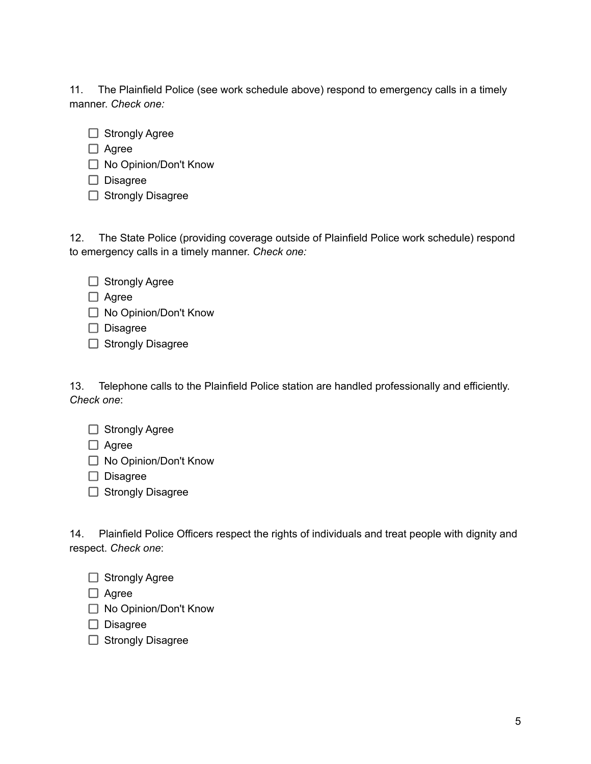11. The Plainfield Police (see work schedule above) respond to emergency calls in a timely manner. *Check one:*

- $\Box$  Strongly Agree
- □ Agree
- □ No Opinion/Don't Know
- $\Box$  Disagree
- $\Box$  Strongly Disagree

12. The State Police (providing coverage outside of Plainfield Police work schedule) respond to emergency calls in a timely manner. *Check one:*

- $\Box$  Strongly Agree
- □ Agree
- □ No Opinion/Don't Know
- Disagree
- $\Box$  Strongly Disagree

13. Telephone calls to the Plainfield Police station are handled professionally and efficiently. *Check one*:

- $\Box$  Strongly Agree
- □ Agree
- □ No Opinion/Don't Know
- $\Box$  Disagree
- $\Box$  Strongly Disagree

14. Plainfield Police Officers respect the rights of individuals and treat people with dignity and respect. *Check one*:

 $\Box$  Strongly Agree

 $\Box$  Agree

- □ No Opinion/Don't Know
- $\Box$  Disagree
- $\Box$  Strongly Disagree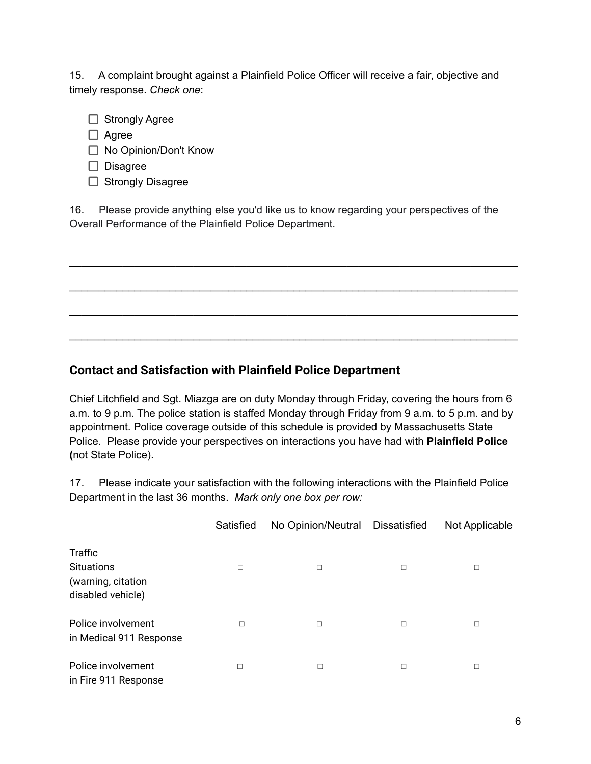15. A complaint brought against a Plainfield Police Officer will receive a fair, objective and timely response. *Check one*:

- $\Box$  Strongly Agree
- Agree
- □ No Opinion/Don't Know
- $\Box$  Disagree
- $\Box$  Strongly Disagree

16. Please provide anything else you'd like us to know regarding your perspectives of the Overall Performance of the Plainfield Police Department.

\_\_\_\_\_\_\_\_\_\_\_\_\_\_\_\_\_\_\_\_\_\_\_\_\_\_\_\_\_\_\_\_\_\_\_\_\_\_\_\_\_\_\_\_\_\_\_\_\_\_\_\_\_\_\_\_\_\_\_\_\_\_\_\_\_\_\_\_\_\_\_\_\_\_\_\_

\_\_\_\_\_\_\_\_\_\_\_\_\_\_\_\_\_\_\_\_\_\_\_\_\_\_\_\_\_\_\_\_\_\_\_\_\_\_\_\_\_\_\_\_\_\_\_\_\_\_\_\_\_\_\_\_\_\_\_\_\_\_\_\_\_\_\_\_\_\_\_\_\_\_\_\_

\_\_\_\_\_\_\_\_\_\_\_\_\_\_\_\_\_\_\_\_\_\_\_\_\_\_\_\_\_\_\_\_\_\_\_\_\_\_\_\_\_\_\_\_\_\_\_\_\_\_\_\_\_\_\_\_\_\_\_\_\_\_\_\_\_\_\_\_\_\_\_\_\_\_\_\_

\_\_\_\_\_\_\_\_\_\_\_\_\_\_\_\_\_\_\_\_\_\_\_\_\_\_\_\_\_\_\_\_\_\_\_\_\_\_\_\_\_\_\_\_\_\_\_\_\_\_\_\_\_\_\_\_\_\_\_\_\_\_\_\_\_\_\_\_\_\_\_\_\_\_\_\_

#### **Contact and Satisfaction with Plainfield Police Department**

Chief Litchfield and Sgt. Miazga are on duty Monday through Friday, covering the hours from 6 a.m. to 9 p.m. The police station is staffed Monday through Friday from 9 a.m. to 5 p.m. and by appointment. Police coverage outside of this schedule is provided by Massachusetts State Police. Please provide your perspectives on interactions you have had with **Plainfield Police (**not State Police).

17. Please indicate your satisfaction with the following interactions with the Plainfield Police Department in the last 36 months. *Mark only one box per row:*

|                                                    | Satisfied | No Opinion/Neutral Dissatisfied |        | Not Applicable |  |
|----------------------------------------------------|-----------|---------------------------------|--------|----------------|--|
| Traffic<br><b>Situations</b><br>(warning, citation |           |                                 | □      |                |  |
| disabled vehicle)                                  |           |                                 |        |                |  |
| Police involvement<br>in Medical 911 Response      |           | □                               | $\Box$ | $\Box$         |  |
| Police involvement<br>in Fire 911 Response         | П         | □                               | $\Box$ | □              |  |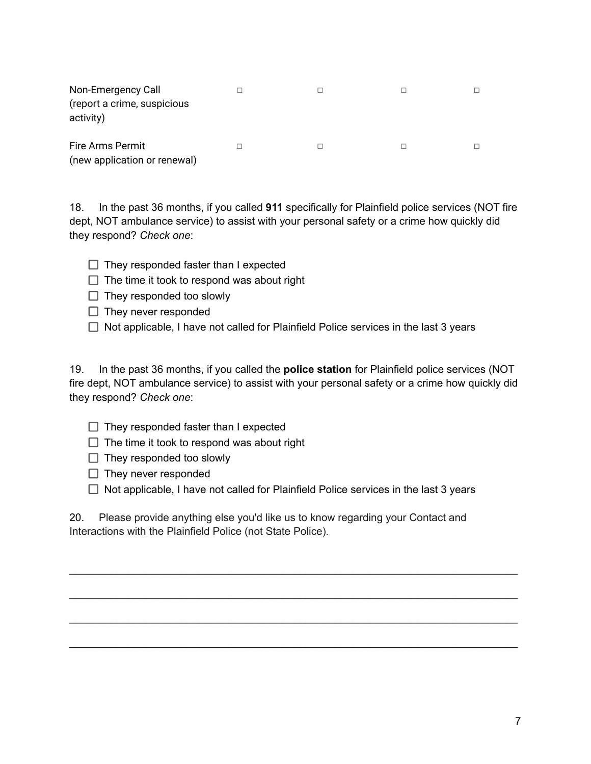| Non-Emergency Call<br>(report a crime, suspicious<br>activity) |  |  |
|----------------------------------------------------------------|--|--|
| Fire Arms Permit<br>(new application or renewal)               |  |  |

18. In the past 36 months, if you called **911** specifically for Plainfield police services (NOT fire dept, NOT ambulance service) to assist with your personal safety or a crime how quickly did they respond? *Check one*:

- $\Box$  They responded faster than I expected
- $\Box$  The time it took to respond was about right
- $\Box$  They responded too slowly
- $\Box$  They never responded
- $\Box$  Not applicable, I have not called for Plainfield Police services in the last 3 years

19. In the past 36 months, if you called the **police station** for Plainfield police services (NOT fire dept, NOT ambulance service) to assist with your personal safety or a crime how quickly did they respond? *Check one*:

- $\Box$  They responded faster than I expected
- $\Box$  The time it took to respond was about right
- $\Box$  They responded too slowly
- $\Box$  They never responded
- $\Box$  Not applicable, I have not called for Plainfield Police services in the last 3 years

\_\_\_\_\_\_\_\_\_\_\_\_\_\_\_\_\_\_\_\_\_\_\_\_\_\_\_\_\_\_\_\_\_\_\_\_\_\_\_\_\_\_\_\_\_\_\_\_\_\_\_\_\_\_\_\_\_\_\_\_\_\_\_\_\_\_\_\_\_\_\_\_\_\_\_\_

\_\_\_\_\_\_\_\_\_\_\_\_\_\_\_\_\_\_\_\_\_\_\_\_\_\_\_\_\_\_\_\_\_\_\_\_\_\_\_\_\_\_\_\_\_\_\_\_\_\_\_\_\_\_\_\_\_\_\_\_\_\_\_\_\_\_\_\_\_\_\_\_\_\_\_\_

\_\_\_\_\_\_\_\_\_\_\_\_\_\_\_\_\_\_\_\_\_\_\_\_\_\_\_\_\_\_\_\_\_\_\_\_\_\_\_\_\_\_\_\_\_\_\_\_\_\_\_\_\_\_\_\_\_\_\_\_\_\_\_\_\_\_\_\_\_\_\_\_\_\_\_\_

\_\_\_\_\_\_\_\_\_\_\_\_\_\_\_\_\_\_\_\_\_\_\_\_\_\_\_\_\_\_\_\_\_\_\_\_\_\_\_\_\_\_\_\_\_\_\_\_\_\_\_\_\_\_\_\_\_\_\_\_\_\_\_\_\_\_\_\_\_\_\_\_\_\_\_\_

20. Please provide anything else you'd like us to know regarding your Contact and Interactions with the Plainfield Police (not State Police).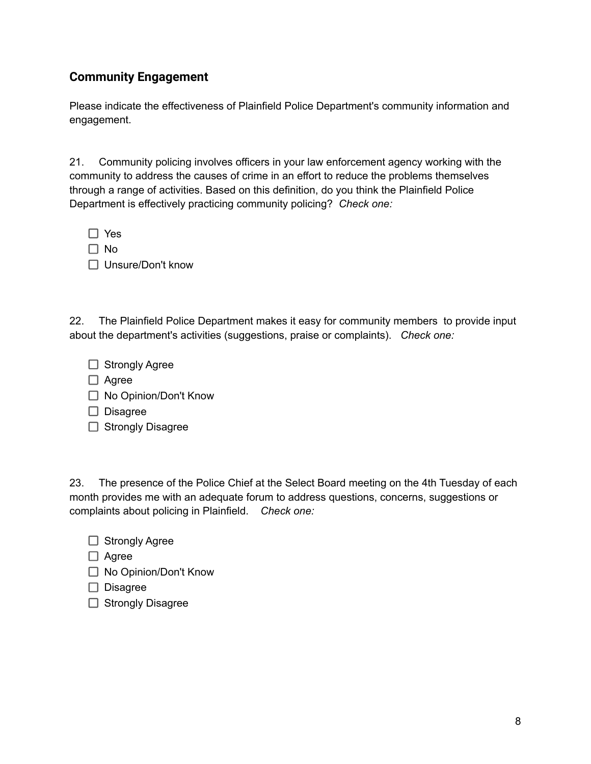### **Community Engagement**

Please indicate the effectiveness of Plainfield Police Department's community information and engagement.

21. Community policing involves officers in your law enforcement agency working with the community to address the causes of crime in an effort to reduce the problems themselves through a range of activities. Based on this definition, do you think the Plainfield Police Department is effectively practicing community policing? *Check one:*

□ Yes

□ No

□ Unsure/Don't know

22. The Plainfield Police Department makes it easy for community members to provide input about the department's activities (suggestions, praise or complaints). *Check one:*

 $\Box$  Strongly Agree

 $\Box$  Agree

□ No Opinion/Don't Know

 $\Box$  Disagree

 $\Box$  Strongly Disagree

23. The presence of the Police Chief at the Select Board meeting on the 4th Tuesday of each month provides me with an adequate forum to address questions, concerns, suggestions or complaints about policing in Plainfield. *Check one:*

 $\Box$  Strongly Agree

 $\Box$  Agree

□ No Opinion/Don't Know

 $\Box$  Disagree

 $\Box$  Strongly Disagree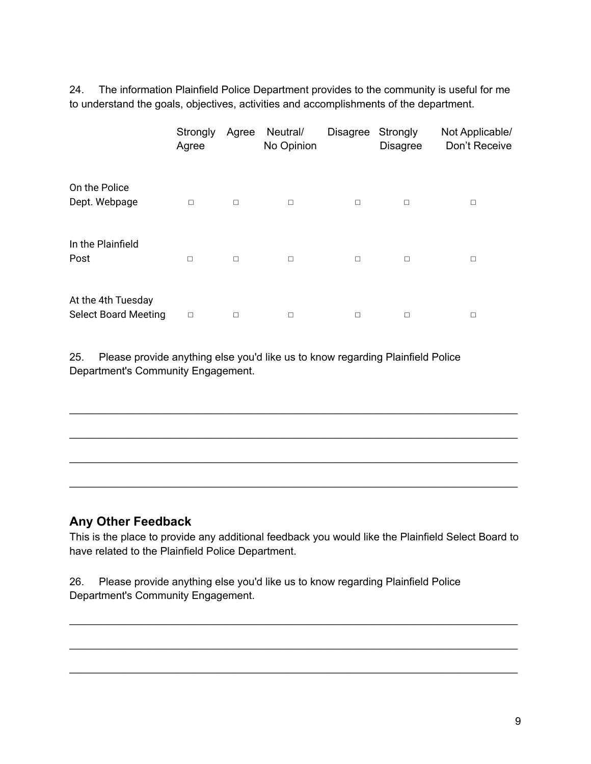24. The information Plainfield Police Department provides to the community is useful for me to understand the goals, objectives, activities and accomplishments of the department.

|                                                   | Strongly<br>Agree | Agree  | Neutral/<br>No Opinion | <b>Disagree</b> | Strongly<br><b>Disagree</b> | Not Applicable/<br>Don't Receive |
|---------------------------------------------------|-------------------|--------|------------------------|-----------------|-----------------------------|----------------------------------|
| On the Police<br>Dept. Webpage                    | □                 | $\Box$ | $\Box$                 | $\Box$          | $\Box$                      | $\Box$                           |
| In the Plainfield<br>Post                         | $\Box$            | $\Box$ | $\Box$                 | $\Box$          | $\Box$                      | $\Box$                           |
| At the 4th Tuesday<br><b>Select Board Meeting</b> | $\Box$            | □      |                        | □               | $\Box$                      | $\Box$                           |

25. Please provide anything else you'd like us to know regarding Plainfield Police Department's Community Engagement.

#### **Any Other Feedback**

This is the place to provide any additional feedback you would like the Plainfield Select Board to have related to the Plainfield Police Department.

\_\_\_\_\_\_\_\_\_\_\_\_\_\_\_\_\_\_\_\_\_\_\_\_\_\_\_\_\_\_\_\_\_\_\_\_\_\_\_\_\_\_\_\_\_\_\_\_\_\_\_\_\_\_\_\_\_\_\_\_\_\_\_\_\_\_\_\_\_\_\_\_\_\_\_\_

\_\_\_\_\_\_\_\_\_\_\_\_\_\_\_\_\_\_\_\_\_\_\_\_\_\_\_\_\_\_\_\_\_\_\_\_\_\_\_\_\_\_\_\_\_\_\_\_\_\_\_\_\_\_\_\_\_\_\_\_\_\_\_\_\_\_\_\_\_\_\_\_\_\_\_\_

\_\_\_\_\_\_\_\_\_\_\_\_\_\_\_\_\_\_\_\_\_\_\_\_\_\_\_\_\_\_\_\_\_\_\_\_\_\_\_\_\_\_\_\_\_\_\_\_\_\_\_\_\_\_\_\_\_\_\_\_\_\_\_\_\_\_\_\_\_\_\_\_\_\_\_\_

\_\_\_\_\_\_\_\_\_\_\_\_\_\_\_\_\_\_\_\_\_\_\_\_\_\_\_\_\_\_\_\_\_\_\_\_\_\_\_\_\_\_\_\_\_\_\_\_\_\_\_\_\_\_\_\_\_\_\_\_\_\_\_\_\_\_\_\_\_\_\_\_\_\_\_\_

\_\_\_\_\_\_\_\_\_\_\_\_\_\_\_\_\_\_\_\_\_\_\_\_\_\_\_\_\_\_\_\_\_\_\_\_\_\_\_\_\_\_\_\_\_\_\_\_\_\_\_\_\_\_\_\_\_\_\_\_\_\_\_\_\_\_\_\_\_\_\_\_\_\_\_\_

\_\_\_\_\_\_\_\_\_\_\_\_\_\_\_\_\_\_\_\_\_\_\_\_\_\_\_\_\_\_\_\_\_\_\_\_\_\_\_\_\_\_\_\_\_\_\_\_\_\_\_\_\_\_\_\_\_\_\_\_\_\_\_\_\_\_\_\_\_\_\_\_\_\_\_\_

\_\_\_\_\_\_\_\_\_\_\_\_\_\_\_\_\_\_\_\_\_\_\_\_\_\_\_\_\_\_\_\_\_\_\_\_\_\_\_\_\_\_\_\_\_\_\_\_\_\_\_\_\_\_\_\_\_\_\_\_\_\_\_\_\_\_\_\_\_\_\_\_\_\_\_\_

26. Please provide anything else you'd like us to know regarding Plainfield Police Department's Community Engagement.